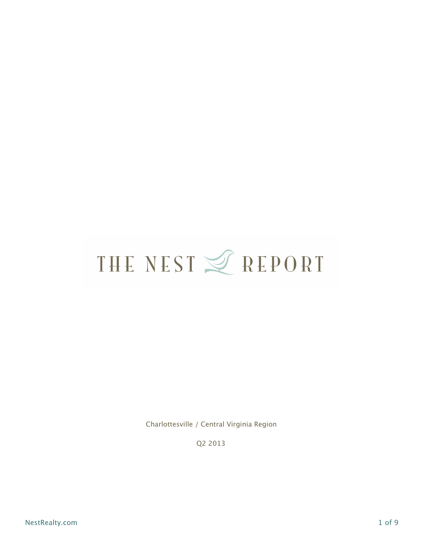Charlottesville / Central Virginia Region

Q2 2013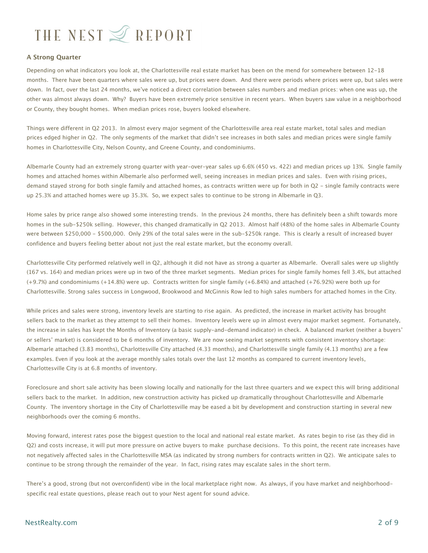#### **A Strong Quarter**

Depending on what indicators you look at, the Charlottesville real estate market has been on the mend for somewhere between 12-18 months. There have been quarters where sales were up, but prices were down. And there were periods where prices were up, but sales were down. In fact, over the last 24 months, we've noticed a direct correlation between sales numbers and median prices: when one was up, the other was almost always down. Why? Buyers have been extremely price sensitive in recent years. When buyers saw value in a neighborhood or County, they bought homes. When median prices rose, buyers looked elsewhere.

Things were different in Q2 2013. In almost every major segment of the Charlottesville area real estate market, total sales and median prices edged higher in Q2. The only segments of the market that didn't see increases in both sales and median prices were single family homes in Charlottesville City, Nelson County, and Greene County, and condominiums.

Albemarle County had an extremely strong quarter with year-over-year sales up 6.6% (450 vs. 422) and median prices up 13%. Single family homes and attached homes within Albemarle also performed well, seeing increases in median prices and sales. Even with rising prices, demand stayed strong for both single family and attached homes, as contracts written were up for both in Q2 - single family contracts were up 25.3% and attached homes were up 35.3%. So, we expect sales to continue to be strong in Albemarle in Q3.

Home sales by price range also showed some interesting trends. In the previous 24 months, there has definitely been a shift towards more homes in the sub-\$250k selling. However, this changed dramatically in Q2 2013. Almost half (48%) of the home sales in Albemarle County were between \$250,000 - \$500,000. Only 29% of the total sales were in the sub-\$250k range. This is clearly a result of increased buyer confidence and buyers feeling better about not just the real estate market, but the economy overall.

Charlottesville City performed relatively well in Q2, although it did not have as strong a quarter as Albemarle. Overall sales were up slightly (167 vs. 164) and median prices were up in two of the three market segments. Median prices for single family homes fell 3.4%, but attached (+9.7%) and condominiums (+14.8%) were up. Contracts written for single family (+6.84%) and attached (+76.92%) were both up for Charlottesville. Strong sales success in Longwood, Brookwood and McGinnis Row led to high sales numbers for attached homes in the City.

While prices and sales were strong, inventory levels are starting to rise again. As predicted, the increase in market activity has brought sellers back to the market as they attempt to sell their homes. Inventory levels were up in almost every major market segment. Fortunately, the increase in sales has kept the Months of Inventory (a basic supply-and-demand indicator) in check. A balanced market (neither a buyers' or sellers' market) is considered to be 6 months of inventory. We are now seeing market segments with consistent inventory shortage: Albemarle attached (3.83 months), Charlottesville City attached (4.33 months), and Charlottesville single family (4.13 months) are a few examples. Even if you look at the average monthly sales totals over the last 12 months as compared to current inventory levels, Charlottesville City is at 6.8 months of inventory.

Foreclosure and short sale activity has been slowing locally and nationally for the last three quarters and we expect this will bring additional sellers back to the market. In addition, new construction activity has picked up dramatically throughout Charlottesville and Albemarle County. The inventory shortage in the City of Charlottesville may be eased a bit by development and construction starting in several new neighborhoods over the coming 6 months.

Moving forward, interest rates pose the biggest question to the local and national real estate market. As rates begin to rise (as they did in Q2) and costs increase, it will put more pressure on active buyers to make purchase decisions. To this point, the recent rate increases have not negatively affected sales in the Charlottesville MSA (as indicated by strong numbers for contracts written in Q2). We anticipate sales to continue to be strong through the remainder of the year. In fact, rising rates may escalate sales in the short term.

There's a good, strong (but not overconfident) vibe in the local marketplace right now. As always, if you have market and neighborhoodspecific real estate questions, please reach out to your Nest agent for sound advice.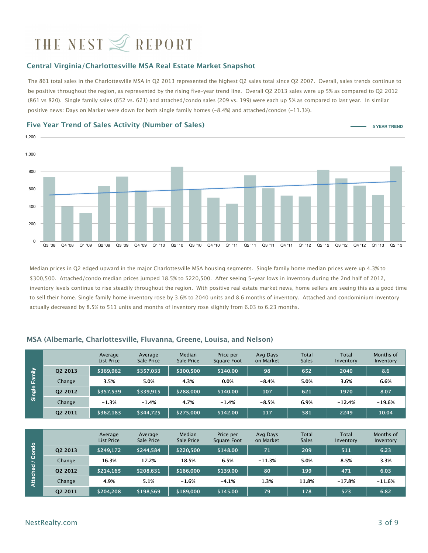#### **Central Virginia/Charlottesville MSA Real Estate Market Snapshot**

The 861 total sales in the Charlottesville MSA in Q2 2013 represented the highest Q2 sales total since Q2 2007. Overall, sales trends continue to be positive throughout the region, as represented by the rising five-year trend line. Overall Q2 2013 sales were up 5% as compared to Q2 2012 (861 vs 820). Single family sales (652 vs. 621) and attached/condo sales (209 vs. 199) were each up 5% as compared to last year. In similar positive news: Days on Market were down for both single family homes (-8.4%) and attached/condos (-11.3%).



**Five Year Trend of Sales Activity (Number of Sales)**

Median prices in Q2 edged upward in the major Charlottesville MSA housing segments. Single family home median prices were up 4.3% to \$300,500. Attached/condo median prices jumped 18.5% to \$220,500. After seeing 5-year lows in inventory during the 2nd half of 2012, inventory levels continue to rise steadily throughout the region. With positive real estate market news, home sellers are seeing this as a good time to sell their home. Single family home inventory rose by 3.6% to 2040 units and 8.6 months of inventory. Attached and condominium inventory actually decreased by 8.5% to 511 units and months of inventory rose slightly from 6.03 to 6.23 months.

|          |         | Average<br><b>List Price</b> | Average<br>Sale Price | Median<br>Sale Price | Price per<br><b>Square Foot</b> | Avg Days<br>on Market | Total<br><b>Sales</b> | Total<br>Inventory | Months of<br>Inventory |
|----------|---------|------------------------------|-----------------------|----------------------|---------------------------------|-----------------------|-----------------------|--------------------|------------------------|
|          | Q2 2013 | \$369,962                    | \$357,033             | \$300,500            | \$140.00                        | 98                    | 652                   | 2040               | 8.6                    |
| Family   | Change  | 3.5%                         | 5.0%                  | 4.3%                 | 0.0%                            | $-8.4%$               | 5.0%                  | 3.6%               | 6.6%                   |
| Single   | Q2 2012 | \$357,539                    | \$339,915             | \$288,000            | \$140.00                        | 107                   | 621                   | 1970               | 8.07                   |
|          | Change  | $-1.3%$                      | $-1.4%$               | 4.7%                 | $-1.4%$                         | $-8.5%$               | 6.9%                  | $-12.4%$           | $-19.6%$               |
|          | Q2 2011 | \$362,183                    | \$344,725             | \$275,000            | \$142.00                        | 117                   | 581                   | 2249               | 10.04                  |
|          |         |                              |                       |                      |                                 |                       |                       |                    |                        |
|          |         | Average<br>List Price        | Average<br>Sale Price | Median<br>Sale Price | Price per<br><b>Square Foot</b> | Avg Days<br>on Market | Total<br><b>Sales</b> | Total<br>Inventory | Months of<br>Inventory |
| Condo    | Q2 2013 | \$249,172                    | \$244,584             | \$220,500            | \$148.00                        | 71                    | 209                   | 511                | 6.23                   |
|          | Change  | 16.3%                        | 17.2%                 | 18.5%                | 6.5%                            | $-11.3%$              | 5.0%                  | 8.5%               | 3.3%                   |
|          | Q2 2012 | \$214,165                    | \$208,631             | \$186,000            | \$139.00                        | 80                    | 199                   | 471                | 6.03                   |
| Attached | Change  | 4.9%                         | 5.1%                  | $-1.6%$              | $-4.1%$                         | 1.3%                  | 11.8%                 | $-17.8%$           | $-11.6%$               |
|          | Q2 2011 | \$204,208                    | \$198,569             | \$189,000            | \$145.00                        | 79                    | 178                   | 573                | 6.82                   |

#### **MSA (Albemarle, Charlottesville, Fluvanna, Greene, Louisa, and Nelson)**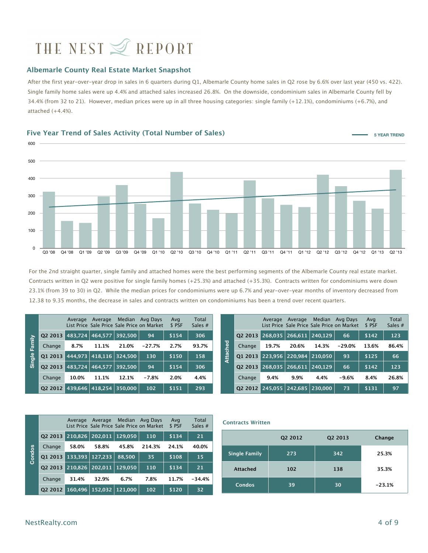#### **Albemarle County Real Estate Market Snapshot**

After the first year-over-year drop in sales in 6 quarters during Q1, Albemarle County home sales in Q2 rose by 6.6% over last year (450 vs. 422). Single family home sales were up 4.4% and attached sales increased 26.8%. On the downside, condominium sales in Albemarle County fell by 34.4% (from 32 to 21). However, median prices were up in all three housing categories: single family (+12.1%), condominiums (+6.7%), and attached  $(+4.4%)$ .

### 0 100 200 300 400 500 600 Q3 '08 Q4 '08 Q1 '09 Q2 '09 Q3 '09 Q4 '09 Q1 '10 Q2 '10 Q3 '10 Q4 '10 Q1 '11 Q2 '11 Q3 '11 Q4 '11 Q1 '12 Q2 '12 Q3 '12 Q4 '12 Q1 '13 Q2 '13 **Five Year Trend of Sales Activity (Total Number of Sales) 5 YEAR TREND**

For the 2nd straight quarter, single family and attached homes were the best performing segments of the Albemarle County real estate market. Contracts written in Q2 were positive for single family homes (+25.3%) and attached (+35.3%). Contracts written for condominiums were down 23.1% (from 39 to 30) in Q2. While the median prices for condominiums were up 6.7% and year-over-year months of inventory decreased from 12.38 to 9.35 months, the decrease in sales and contracts written on condominiums has been a trend over recent quarters.

|                  |                                 | Average | Average |       | Median Avg Days<br>List Price Sale Price Sale Price on Market | Avg<br>\$PSF | Total<br>Sales $#$ |              |                                              |       | Average Average |       | Median Avg Days<br>List Price Sale Price Sale Price on Market | Ava<br>\$ PSF | Total<br>Sales $#$ |
|------------------|---------------------------------|---------|---------|-------|---------------------------------------------------------------|--------------|--------------------|--------------|----------------------------------------------|-------|-----------------|-------|---------------------------------------------------------------|---------------|--------------------|
| /≘ੇ              | 02 2013 483,724 464,577 392,500 |         |         |       | 94                                                            | \$154        | 306                |              | $Q22013$ 268,035 266,611 240,129             |       |                 |       | 66                                                            | \$142         | 123                |
| Fair             | Change                          | 8.7%    | 11.1%   | 21.0% | -27.7%                                                        | 2.7%         | 93.7%              | per<br>P     | Change                                       | 19.7% | 20.6%           | 14.3% | -29.0%                                                        | 13.6%         | 86.4%              |
| $rac{e}{\sigma}$ | 01 2013 444,973 418,116 324,500 |         |         |       | 130                                                           | \$150        | 158                | <b>utacl</b> | $\boxed{01\ 2013}$ 223,956 220,984 210,050   |       |                 |       | 93                                                            | \$125         | 66                 |
| 运                | 02 2013 483.724 464.577 392.500 |         |         |       | 94                                                            | \$154        | 306                |              | $\overline{02}$ 2013 268,035 266,611 240,129 |       |                 |       | 66                                                            | \$142         | 123                |
|                  | Change                          | 10.0%   | 11.1%   | 12.1% | $-7.8%$                                                       | 2.0%         | 4.4%               |              | Change                                       | 9.4%  | 9.9%            | 4.4%  | $-9.6%$                                                       | 8.4%          | 26.8%              |
|                  | 02 2012 439,646 418,254 350,000 |         |         |       | 102                                                           | \$151        | 293                |              | 02 2012 245,055 242,685 230,000              |       |                 |       | 73                                                            | \$131         | 97                 |

|        |         | Average | Average | Median  | Avg Days<br>List Price Sale Price Sale Price on Market | Avg<br>\$ PSF | Total<br>Sales $#$ |
|--------|---------|---------|---------|---------|--------------------------------------------------------|---------------|--------------------|
|        | 02 2013 | 210,826 | 202.011 | 129,050 | 110                                                    | \$134         | 21                 |
|        | Change  | 58.0%   | 58.8%   | 45.8%   | 214.3%                                                 | 24.1%         | 40.0%              |
| Condos | 01 2013 | 133.393 | 127.233 | 88.500  | 35                                                     | \$108         | 15                 |
|        | 02 2013 | 210,826 | 202.011 | 129,050 | 110                                                    | \$134         | 21                 |
|        | Change  | 31.4%   | 32.9%   | 6.7%    | 7.8%                                                   | 11.7%         | $-34.4%$           |
|        | 02 2012 | 160.496 | 152,032 | 121.000 | 102                                                    | \$120         | 32                 |

**Contracts Written** 

|                      | Q2 2012 | Q2 2013 | Change   |
|----------------------|---------|---------|----------|
| <b>Single Family</b> | 273     | 342     | 25.3%    |
| <b>Attached</b>      | 102     | 138     | 35.3%    |
| <b>Condos</b>        | 39      | 30      | $-23.1%$ |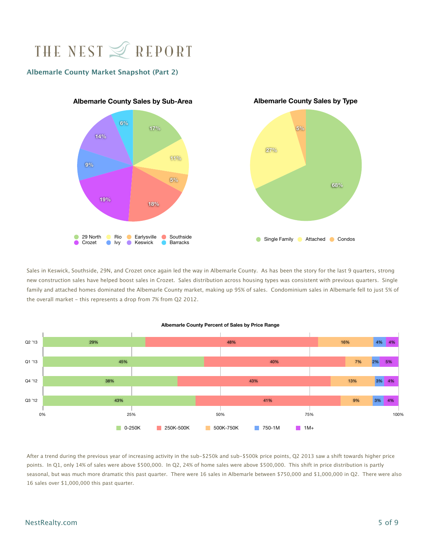#### **Albemarle County Market Snapshot (Part 2)**



Sales in Keswick, Southside, 29N, and Crozet once again led the way in Albemarle County. As has been the story for the last 9 quarters, strong new construction sales have helped boost sales in Crozet. Sales distribution across housing types was consistent with previous quarters. Single family and attached homes dominated the Albemarle County market, making up 95% of sales. Condominium sales in Albemarle fell to just 5% of the overall market - this represents a drop from 7% from Q2 2012.



#### **Albemarle County Percent of Sales by Price Range**

After a trend during the previous year of increasing activity in the sub-\$250k and sub-\$500k price points, Q2 2013 saw a shift towards higher price points. In Q1, only 14% of sales were above \$500,000. In Q2, 24% of home sales were above \$500,000. This shift in price distribution is partly seasonal, but was much more dramatic this past quarter. There were 16 sales in Albemarle between \$750,000 and \$1,000,000 in Q2. There were also 16 sales over \$1,000,000 this past quarter.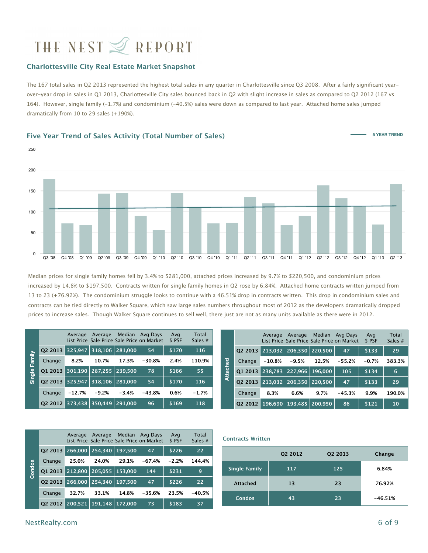#### **Charlottesville City Real Estate Market Snapshot**

The 167 total sales in Q2 2013 represented the highest total sales in any quarter in Charlottesville since Q3 2008. After a fairly significant yearover-year drop in sales in Q1 2013, Charlottesville City sales bounced back in Q2 with slight increase in sales as compared to Q2 2012 (167 vs 164). However, single family (-1.7%) and condominium (-40.5%) sales were down as compared to last year. Attached home sales jumped dramatically from 10 to 29 sales (+190%).

#### **Five Year Trend of Sales Activity (Total Number of Sales)**



Median prices for single family homes fell by 3.4% to \$281,000, attached prices increased by 9.7% to \$220,500, and condominium prices increased by 14.8% to \$197,500. Contracts written for single family homes in Q2 rose by 6.84%. Attached home contracts written jumped from 13 to 23 (+76.92%). The condominium struggle looks to continue with a 46.51% drop in contracts written. This drop in condominium sales and contracts can be tied directly to Walker Square, which saw large sales numbers throughout most of 2012 as the developers dramatically dropped prices to increase sales. Though Walker Square continues to sell well, there just are not as many units available as there were in 2012.

|             |                                   | Average  | Average |         | Median Avg Days<br>List Price, Sale Price, Sale Price on Market | Avg<br>\$ PSF | Total<br>Sales $#$ |         |                                 | Average  | Average                     |       | Median Avg Days<br>List Price Sale Price Sale Price on Market | Avg<br>\$ PSF | Total<br>Sales $#$ |
|-------------|-----------------------------------|----------|---------|---------|-----------------------------------------------------------------|---------------|--------------------|---------|---------------------------------|----------|-----------------------------|-------|---------------------------------------------------------------|---------------|--------------------|
|             | 02 2013 325,947 318,106 281,000   |          |         |         | 54                                                              | \$170         | 116                |         | Q2 2013 213,032 206,350 220,500 |          |                             |       | 47                                                            | \$133         | 29                 |
| Family      | Change                            | 8.2%     | 10.7%   | 17.3%   | $-30.8%$                                                        | 2.4%          | 110.9%             |         | Change                          | $-10.8%$ | $-9.5%$                     | 12.5% | $-55.2%$                                                      | $-0.7%$       | 383.3%             |
| $rac{6}{9}$ | Q1 2013 301,190  287,255  239,500 |          |         |         | 78                                                              | \$166         | 55                 | ttached | 01 2013 238,783 227,966 196,000 |          |                             |       | 105                                                           | \$134         | 6                  |
| 淸           | Q2 2013 325,947 318,106 281,000   |          |         |         | 54                                                              | \$170         | 116                | ⋖       | Q2 2013 213,032 206,350 220,500 |          |                             |       | 47                                                            | \$133         | 29                 |
|             | Change                            | $-12.7%$ | $-9.2%$ | $-3.4%$ | $-43.8%$                                                        | 0.6%          | $-1.7%$            |         | Change                          | 8.3%     | 6.6%                        | 9.7%  | $-45.3%$                                                      | 9.9%          | 190.0%             |
|             | Q2 2012 373,438 350,449 291,000   |          |         |         | 96                                                              | \$169         | 118                |         | 02 2012                         |          | 196,690   193,485   200,950 |       | 86                                                            | \$121         | 10                 |

|        |         | Average | Average          |         | Median Avg Days<br>List Price Sale Price Sale Price on Market | Avg<br>\$ PSF | Total<br>Sales $#$ |
|--------|---------|---------|------------------|---------|---------------------------------------------------------------|---------------|--------------------|
|        | 02 2013 |         | 266,000 254,340  | 197.500 | 47                                                            | \$226         | 22                 |
|        | Change  | 25.0%   | 24.0%            | 29.1%   | $-67.4%$                                                      | $-2.2%$       | 144.4%             |
| Condos | 01 2013 | 212.800 | 205,055          | 153,000 | 144                                                           | \$231         | 9                  |
|        | 02 2013 | 266,000 | $\sqrt{254,340}$ | 197.500 | 47                                                            | \$226         | 22                 |
|        | Change  | 32.7%   | 33.1%            | 14.8%   | $-35.6%$                                                      | 23.5%         | $-40.5%$           |
|        | 02 2012 | 200.521 | 191.148          | 172,000 | 73                                                            | \$183         | 37                 |

#### **Contracts Written**

|                      | Q2 2012 | Q <sub>2</sub> 2013 | Change    |
|----------------------|---------|---------------------|-----------|
| <b>Single Family</b> | 117     | 125                 | 6.84%     |
| <b>Attached</b>      | 13      | 23                  | 76.92%    |
| Condos               | 43      | 23                  | $-46.51%$ |

**5 YEAR TREND**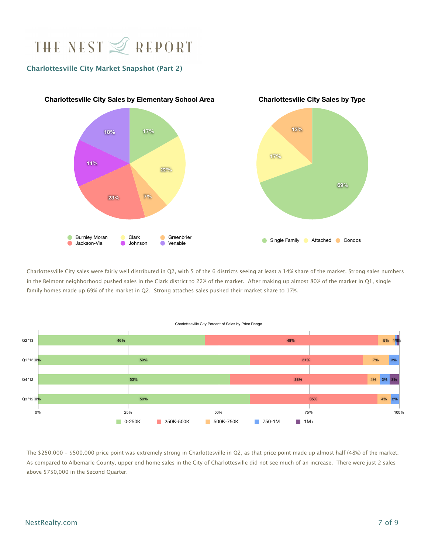#### **Charlottesville City Market Snapshot (Part 2)**



Charlottesville City sales were fairly well distributed in Q2, with 5 of the 6 districts seeing at least a 14% share of the market. Strong sales numbers in the Belmont neighborhood pushed sales in the Clark district to 22% of the market. After making up almost 80% of the market in Q1, single family homes made up 69% of the market in Q2. Strong attaches sales pushed their market share to 17%.



The \$250,000 - \$500,000 price point was extremely strong in Charlottesville in Q2, as that price point made up almost half (48%) of the market. As compared to Albemarle County, upper end home sales in the City of Charlottesville did not see much of an increase. There were just 2 sales above \$750,000 in the Second Quarter.

### NestRealty.com 7 of 9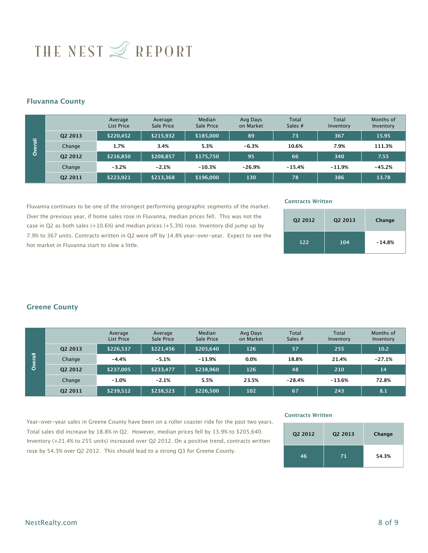#### **Fluvanna County**

|             |                     | Average<br>List Price | Average<br>Sale Price | Median<br>Sale Price | Avg Days<br>on Market | <b>Total</b><br>Sales $#$ | <b>Total</b><br>Inventory | Months of<br>Inventory |
|-------------|---------------------|-----------------------|-----------------------|----------------------|-----------------------|---------------------------|---------------------------|------------------------|
|             | Q <sub>2</sub> 2013 | \$220,452             | \$215,932             | \$185,000            | 89                    | 73                        | 367                       | 15.95                  |
| 帚<br>৯<br>Ó | Change              | 1.7%                  | 3.4%                  | 5.3%                 | $-6.3%$               | 10.6%                     | 7.9%                      | 111.3%                 |
|             | 02 2012             | \$216,850             | \$208,857             | \$175,750            | 95                    | 66                        | 340                       | 7.55                   |
|             | Change              | $-3.2%$               | $-2.1%$               | $-10.3%$             | $-26.9%$              | $-15.4%$                  | $-11.9%$                  | $-45.2%$               |
|             | Q <sub>2</sub> 2011 | \$223,921             | \$213,368             | \$196,000            | 130                   | 78                        | 386                       | 13.78                  |

Fluvanna continues to be one of the strongest performing geographic segments of the market. Over the previous year, if home sales rose in Fluvanna, median prices fell. This was not the case in Q2 as both sales (+10.6%) and median prices (+5.3%) rose. Inventory did jump up by 7.9% to 367 units. Contracts written in Q2 were off by 14.8% year-over-year. Expect to see the hot market in Fluvanna start to slow a little. **Change Change 22 201**<br> **Change 22 201**<br> **Change 22 201**<br> **Change 22 201**<br> **Change 22 42 201**<br> **County**<br>
T.9% to 367 units. C hot market in Fluvar<br> **Creene County** 

#### **Contracts Written**

| Q <sub>2</sub> 2012 | Q <sub>2</sub> 2013 | Change   |
|---------------------|---------------------|----------|
| 122                 | 104                 | $-14.8%$ |

|       |         | Average<br>List Price | Average<br>Sale Price | Median<br>Sale Price | Avg Days<br>on Market | <b>Total</b><br>Sales $#$ | Total<br>Inventory | Months of<br>Inventory |
|-------|---------|-----------------------|-----------------------|----------------------|-----------------------|---------------------------|--------------------|------------------------|
|       | 02 2013 | \$226.537             | \$221,456             | \$205.640            | 126                   | 57                        | 255                | 10.2                   |
| erall | Change  | $-4.4%$               | $-5.1%$               | $-13.9%$             | 0.0%                  | 18.8%                     | 21.4%              | $-27.1%$               |
| Ò     | 02 2012 | \$237,005             | \$233,477             | \$238,960            | 126                   | 48                        | 210                | 14                     |
|       | Change  | $-1.0%$               | $-2.1%$               | 5.5%                 | 23.5%                 | $-28.4%$                  | $-13.6%$           | 72.8%                  |
|       | Q2 2011 | \$239,512             | \$238,523             | \$226,500            | 102                   | 67                        | 243                | 8.1                    |

Year-over-year sales in Greene County have been on a roller coaster ride for the past two years. Total sales did increase by 18.8% in Q2. However, median prices fell by 13.9% to \$205,640. Inventory (+21.4% to 255 units) increased over Q2 2012. On a positive trend, contracts written rose by 54.3% over Q2 2012. This should lead to a strong Q3 for Greene County.

#### **Contracts Written**

| Q2 2012 | Q <sub>2</sub> 2013 | Change |
|---------|---------------------|--------|
| 46      | 71                  | 54.3%  |